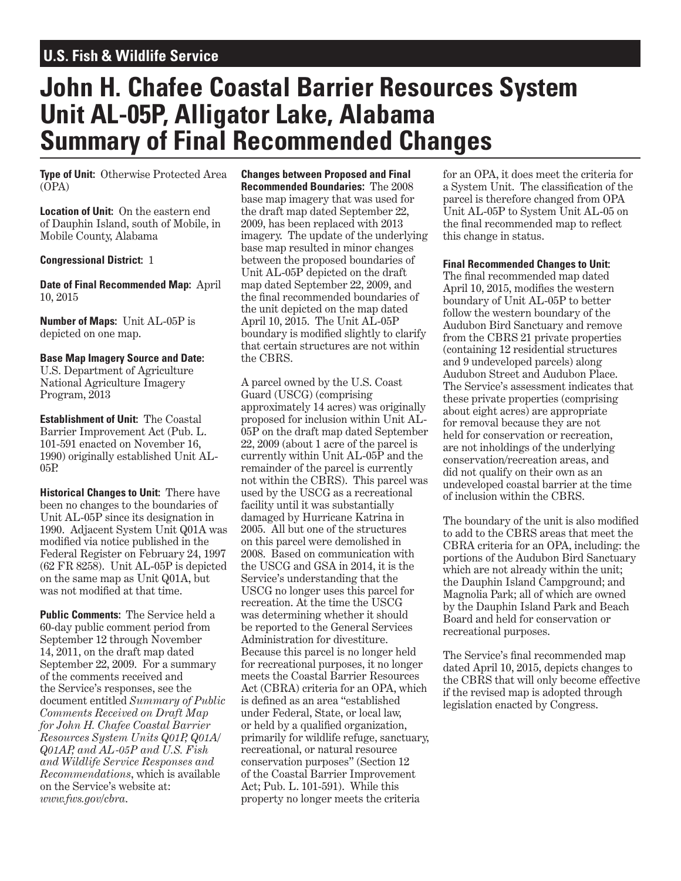## **U.S. Fish & Wildlife Service**

# **John H. Chafee Coastal Barrier Resources System Unit AL-05P, Alligator Lake, Alabama Summary of Final Recommended Changes**

**Type of Unit:** Otherwise Protected Area (OPA)

**Location of Unit:** On the eastern end of Dauphin Island, south of Mobile, in Mobile County, Alabama

#### **Congressional District:** 1

**Date of Final Recommended Map:** April 10, 2015

**Number of Maps:** Unit AL-05P is depicted on one map.

#### **Base Map Imagery Source and Date:**  U.S. Department of Agriculture National Agriculture Imagery

Program, 2013 **Establishment of Unit:** The Coastal Barrier Improvement Act (Pub. L.

101-591 enacted on November 16, 1990) originally established Unit AL-05P.

**Historical Changes to Unit:** There have been no changes to the boundaries of Unit AL-05P since its designation in 1990. Adjacent System Unit Q01A was modified via notice published in the Federal Register on February 24, 1997 (62 FR 8258). Unit AL-05P is depicted on the same map as Unit Q01A, but was not modified at that time.

**Public Comments:** The Service held a 60-day public comment period from September 12 through November 14, 2011, on the draft map dated September 22, 2009. For a summary of the comments received and the Service's responses, see the document entitled *Summary of Public Comments Received on Draft Map for John H. Chafee Coastal Barrier Resources System Units Q01P, Q01A/ Q01AP, and AL-05P and U.S. Fish and Wildlife Service Responses and Recommendations*, which is available on the Service's website at: *www.fws.gov/cbra*.

**Changes between Proposed and Final Recommended Boundaries:** The 2008 base map imagery that was used for the draft map dated September 22, 2009, has been replaced with 2013 imagery. The update of the underlying base map resulted in minor changes between the proposed boundaries of Unit AL-05P depicted on the draft map dated September 22, 2009, and the final recommended boundaries of the unit depicted on the map dated April 10, 2015. The Unit AL-05P boundary is modified slightly to clarify that certain structures are not within the CBRS.

A parcel owned by the U.S. Coast Guard (USCG) (comprising approximately 14 acres) was originally proposed for inclusion within Unit AL-05P on the draft map dated September 22, 2009 (about 1 acre of the parcel is currently within Unit AL-05P and the remainder of the parcel is currently not within the CBRS). This parcel was used by the USCG as a recreational facility until it was substantially damaged by Hurricane Katrina in 2005. All but one of the structures on this parcel were demolished in 2008. Based on communication with the USCG and GSA in 2014, it is the Service's understanding that the USCG no longer uses this parcel for recreation. At the time the USCG was determining whether it should be reported to the General Services Administration for divestiture. Because this parcel is no longer held for recreational purposes, it no longer meets the Coastal Barrier Resources Act (CBRA) criteria for an OPA, which is defined as an area "established under Federal, State, or local law, or held by a qualified organization, primarily for wildlife refuge, sanctuary, recreational, or natural resource conservation purposes" (Section 12 of the Coastal Barrier Improvement Act; Pub. L. 101-591). While this property no longer meets the criteria

for an OPA, it does meet the criteria for a System Unit. The classification of the parcel is therefore changed from OPA Unit AL-05P to System Unit AL-05 on the final recommended map to reflect this change in status.

#### **Final Recommended Changes to Unit:**

The final recommended map dated April 10, 2015, modifies the western boundary of Unit AL-05P to better follow the western boundary of the Audubon Bird Sanctuary and remove from the CBRS 21 private properties (containing 12 residential structures and 9 undeveloped parcels) along Audubon Street and Audubon Place. The Service's assessment indicates that these private properties (comprising about eight acres) are appropriate for removal because they are not held for conservation or recreation, are not inholdings of the underlying conservation/recreation areas, and did not qualify on their own as an undeveloped coastal barrier at the time of inclusion within the CBRS.

The boundary of the unit is also modified to add to the CBRS areas that meet the CBRA criteria for an OPA, including: the portions of the Audubon Bird Sanctuary which are not already within the unit; the Dauphin Island Campground; and Magnolia Park; all of which are owned by the Dauphin Island Park and Beach Board and held for conservation or recreational purposes.

The Service's final recommended map dated April 10, 2015, depicts changes to the CBRS that will only become effective if the revised map is adopted through legislation enacted by Congress.